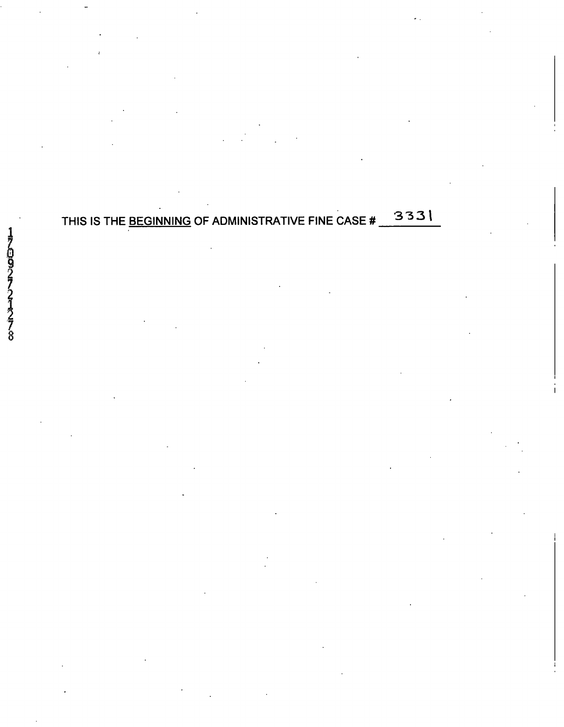## THIS IS THE BEGINNING OF ADMINISTRATIVE FINE CASE # 3331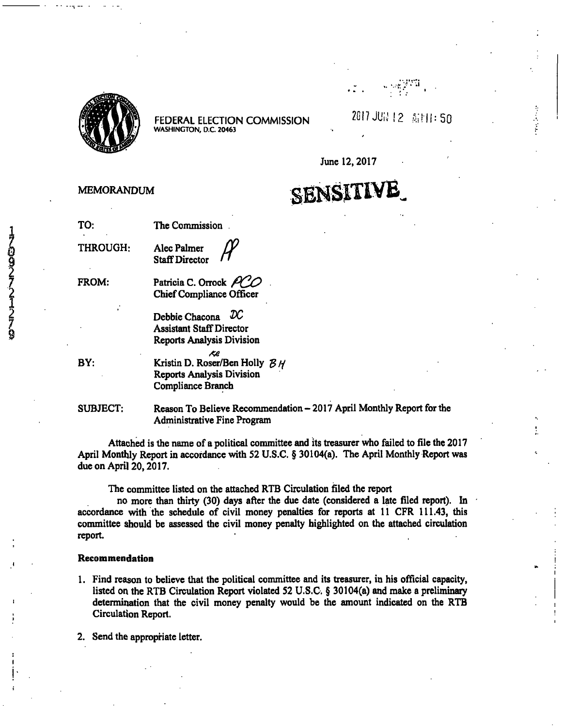

2017 JUN 12 Ailli: 50

s egyptál<br>P

**June 12,2017** 

 $\mathbb{Z}$ 

# SENSITIVE

**THROUGH: Alec Palmer Staff Director** 

**MEMORANDUM** 

**Patricia C. Orrock** 

**Chief Compliance Officer** 

Debbie Chacona  $\mathcal{D}C$ **Assistant Staff Director Reports Analysis Division** 

**BY:** 

**FROM:** 

Kristin D. Roser/Ben Holly  $\beta$  // **Reports Analysis Division Compliance Branch** 

**SUBJECT: Reason To Believe Recommendation - 2017 April Monthly Report for the Administrative Fine Program** 

**Attached is the name of a political committee and its treasurer who failed to file the 2017 April Monthly Report in accordance with 52 U.S.C. § 30104(a). The April Monthly Report was due on April 20,2017.** 

**The committee listed on the attached RTB Circulation Bled the report** 

**no more than thirty (30) days after the due date (considered a late filed report). In accordance with the schedule of civil money penalties for reports at 11 CFR 111.43, this**  committee should be assessed the civil money penalty highlighted on the attached circulation **report.** 

#### **Recommendation**

**1. Find reason to believe that the political committee and its treasurer, in his official capacity, listed on the RTB Circulation Report violated 52 U.S.C. § 30104(a) and make a preliminary determination that the civil money penalty would be the amount indicated on the RTB Circulation Report.** 

**2. Send the appropriate letter.**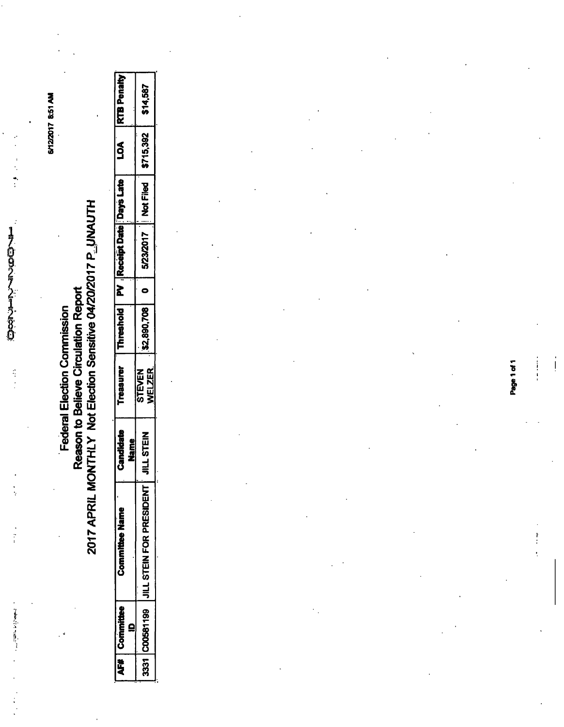*2^* 

 $\ddot{\cdot}$ 

**17 8:51 AM S** 

# **C 0) .2 <3.**  deral Ele<br>n to Belie<br>'Not Ele **u. w -J >:**  *X*  **< r»-**

**§** 

| Name<br>Z         |                   |
|-------------------|-------------------|
| VELZER.<br>STEVEN | <b>JILL STEIN</b> |
|                   |                   |

Page 1 of 1

 $\frac{1}{2}$  $\frac{1}{2}$ 

 $\frac{1}{2}$ 

l,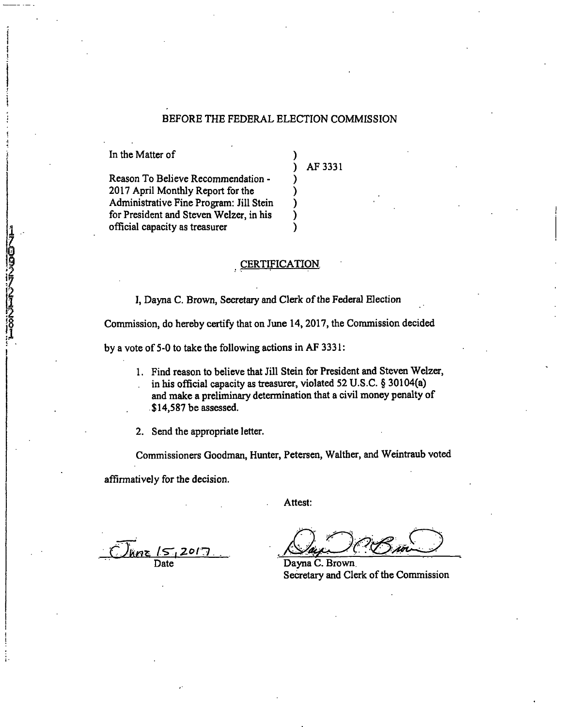#### BEFORE THE FEDERAL ELECTION COMMISSION

In the Matter of

109717-10972007

AF 3331

Reason To Believe Recommendation - 2017 April Monthly Report for the Administrative Fine Program: Jill Stein for President and Steven Welzer, in his official capacity as treasurer

#### CERTIFICATION

λ

I, Dayna C. Brown, Secretary and Clerk of the Federal Election

Commission, do hereby certify that on June 14,2017, the Commission decided

by a vote of 5-0 to take the following actions in AF 3331:

1. Find reason to believe that Jill Stein for President and Steven Welzer, in his official capacity as treasurer, violated 52 U.S.C. § 30104(a) and make a preliminary determination that a civil money penalty of \$14,587 be assessed.

2. Send the appropriate letter.

Commissioners Goodman, Hunter, Petersen, Walther, and Weintraub voted

affirmatively for the decision.

Attest:

*I*s-15<br>Date

Dayna C. Brown. Secretary and Clerk of the Commission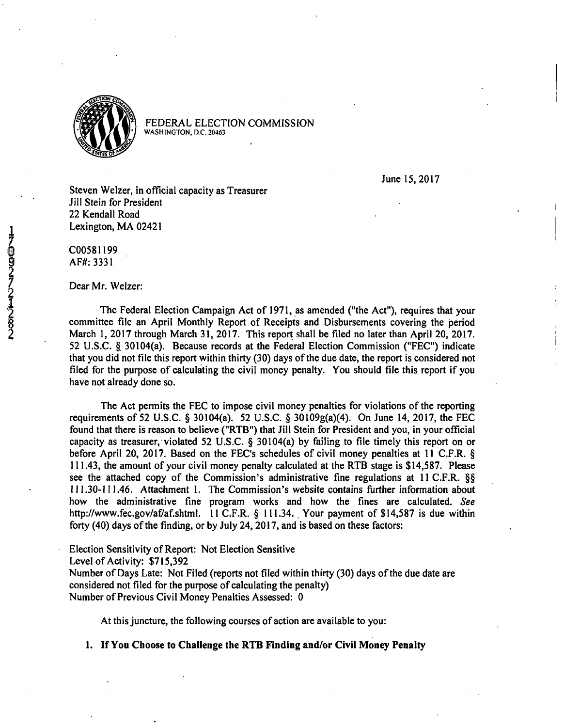

June 15,2017

Steven Welzer, in official capacity as Treasurer Jill Stein for President 22 Kendall Road Lexington, MA 02421

C00581199 AF#:3331

Dear Mr. Welzer:

The Federal Election Campaign Act of 1971, as amended ("the Act"), requires that your committee file an April Monthly Report of Receipts and Disbursements covering the period March 1, 2017 through March 31, 2017. This report shall be filed no later than April 20, 2017. 52 U.S.C. § 30104(a). Because records at the Federal Election Commission ("FEC") indicate that you did not file this report within thirty (30) days of the due date, the report is considered not filed for the purpose of calculating the civil money penalty. You should file this report if you have not already done so.

The Act permits the FEC to impose civil money penalties for violations of the reporting requirements of 52 U.S.C. § 30104(a). 52 U.S.C. § 30109g(a)(4). On June 14, 2017, the FEC found that there is reason to believe ("RTB") that Jill Stein for President and you, in your official capacity as treasurer, violated 52 U.S.C. § 30104(a) by failing to file timely this report on or before April 20, 2017. Based on the FEC's schedules of civil money penalties at 11 C.F.R. § 111.43, the amount of your civil money penalty calculated at the RTB stage is \$14,587. Please see the attached copy of the Commission's administrative fine regulations at 11 C.F.R. §§ 111.30-111.46. Attachment 1. The Commission's website contains further information about how the administrative fine program works and how the fines are calculated. See [http://www.fec.gov/af/af.shtml.](http://www.fec.gov/af/af.shtml) 11 C.F.R. § 111.34. Your payment of \$14,587 is due within forty (40) days of the finding, or by July 24, 2017, and is based on these factors:

Election Sensitivity of Report: Not Election Sensitive

Level of Activity: \$715,392

Number of Days Late: Not Filed (reports not filed within thirty (30) days of the due date are considered not filed for the purpose of calculating the penalty) Number of Previous Civil Money Penalties Assessed: 0

At this juncture, the following courses of action are available to you:

**1. If You Choose to Challenge the RTB Finding and/or Civil Money Penalty**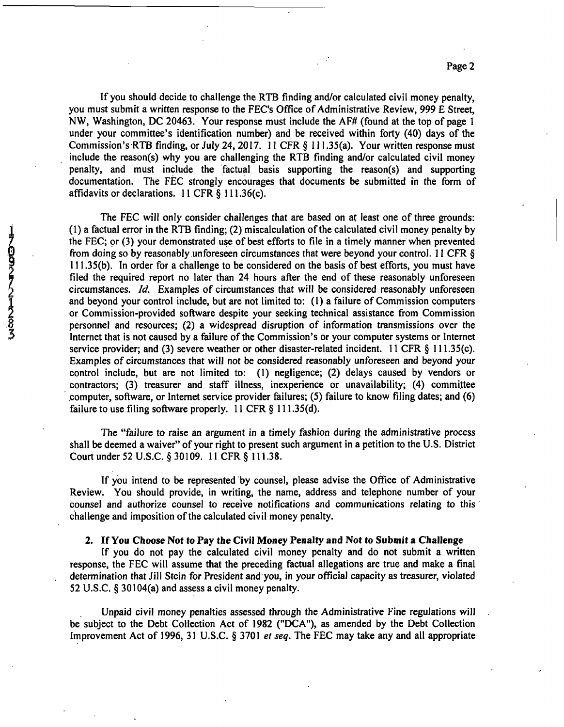If you should decide to challenge the RTB finding and/or calculated civil money penalty, you must submit a written response to the FEC's Office of Administrative Review, 999 E Street, NW, Washington, DC 20463. Your response must include the AF# (found at the top of page 1 under your committee's identification number) and be received within forty (40) days of the Commission's RTB finding, or July 24, 2017. 11 CFR § 111.35(a). Your written response must include the reason(s) why you are challenging the RTB finding and/or calculated civil money penalty, and must include the factual basis supporting the reason(s) and supporting documentation. The FEC strongly encourages that documents be submitted in the form of affidavits or declarations. 11 CFR § 111.36(c).

The FEC will only consider challenges that are based on at least one of three grounds: (1) a factual error in the RTB finding; (2) miscalculation of the calculated civil money penalty by the FEC; pr (3) your demonstrated use of best efforts to file in a timely manner when prevented from doing so by reasonably unforeseen circumstances that were beyond your control. 11 CFR § 111.35(b). In order for a challenge to be considered on the basis of best efforts, you must have filed the required report no later than 24 hours after the end of these reasonably unforeseen circumstances. Id. Examples of circumstances that will be considered reasonably unforeseen and beyond your control include, but are not limited to: (1) a failure of Commission computers or Commission-provided software despite your seeking technical assistance from Commission (1) a factual error in the K1B finding; (2) miscalculation of the calculated civil money penalty by<br>the FEC; or (3) your demonstrated use of best efforts to file in a timely manner when prevented<br>from doing so by reasonab Internet that is not caused by a failure of the Commission's or your computer systems or Internet service provider; and (3) severe weather or other disaster-related incident. 11 CFR § 111.35(c). Examples of circumstances that will not be considered reasonably unforeseen and beyond your control include, but are not limited to: (1) negligence; (2) delays caused by vendors or contractors; (3) treasurer and staff illness, inexperience or unavailability; (4) committee computer, software, or Internet service provider failures; (5) failure to know filing dates; and (6) failure to use filing software properly. 11 CFR § 111.35(d).

> The "failure to raise an argument in a timely fashion during the administrative process shall be deemed a waiver" of your right to present such argument in a petition to the U.S. District Court under 52 U.S.C. §30109. 11 CFR § 111.38.

> If you intend to be represented by counsel, please advise the Office of Administrative Review. You should provide, in writing, the name, address and telephone number of your counsel and authorize counsel to receive notifications and communications relating to this challenge and imposition of the calculated civil money penalty.

#### **2. If You Choose Not to Pay the Civil Money Penalty and Not to Submit a Challenge**

If you do not pay the calculated civil money penalty and do not submit a written response, the FEC will assume that the preceding factual allegations are true and make a final determination that Jill Stein for President and you, in your official capacity as treasurer, violated 52 U.S.C. § 30104(a) and assess a civil money penalty.

Unpaid civil money penalties assessed through the Administrative Fine regulations will be subject to the Debt Collection Act of 1982 ("DCA"), as amended by the Debt Collection Improvement Act of 1996, 31 U.S.C. § 3701 et seq. The FEC may take any and all appropriate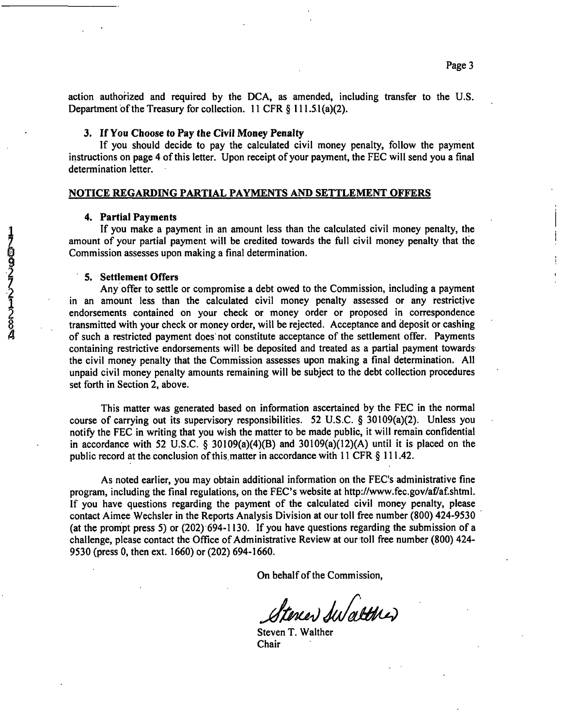action authorized and required by the DCA, as amended, including transfer to the U.S. Department of the Treasury for collection. 11 CFR § 111.51(a)(2).

#### 3. If You Choose to Pay the Civil Money Penalty

If you should decide to pay the calculated civil money penalty, follow the payment instructions on page 4 of this letter. Upon receipt of your payment, the FEC will send you a final determination letter.

#### **NOTICE REGARDING PARTIAL PAYMENTS AND SETTLEMENT OFFERS**

#### **4. Partial Payments**

If you make a payment in an amount less than the calculated civil money penalty, the amount of your partial payment will be credited towards the full civil money penalty that the Commission assesses upon making a final determination.

#### **5. Settlement Offers**

Any offer to settle or compromise a debt owed to the Commission, including a payment in an amount less than the calculated civil money penalty assessed or any restrictive endorsements contained on your check or money order or proposed in correspondence 17 amount of your partial payment in an amount less than the calculated civil money penalty, the<br>
20 transmission assesses upon making a final determination.<br>
5. Settlement Offers<br>
Any offer to settle or compromise a debt of such a restricted payment does not constitute acceptance of the settlement offer. Payments containing restrictive endorsements will be deposited and treated as a partial payment towards the civil money penalty that the Commission assesses upon making a final determination. All unpaid civil money penalty amounts remaining will be subject to the debt collection procedures set forth in Section 2, above.

> This matter was generated based on information ascertained by the FEC in the normal course of carrying out its supervisory responsibilities. 52 U.S.C. § 30109(a)(2). Unless you notify the FEC in writing that you wish the matter to be made public, it will remain confidential in accordance with 52 U.S.C. § 30109(a)(4)(B) and 30109(a)(12)(A) until it is placed on the public record at the conclusion of this matter in accordance with 11 CFR § 111.42.

> As noted earlier, you may obtain additional information on the FEC's administrative fine program, including the final regulations, on the FEC's website at http://www.fec.gov/af/af.shtml. If you have questions regarding the payment of the calculated civil money penalty, please contact Aimee Wechsler in the Reports Analysis Division at our toll free number (800) 424-9530 (at the prompt press 5) or (202) 694-1130. If you have questions regarding the submission of a challenge, please contact the Office of Administrative Review at our toll free number (800) 424- 9530 (press 0, then ext. 1660) or (202) 694-1660.

> > On behalf of the Commission,

Steren Sulatteres

Steven T. Walther Chair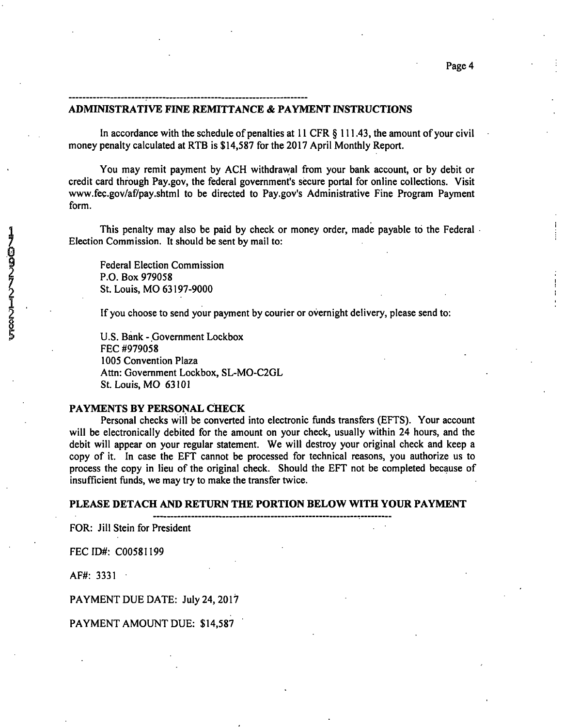#### **ADMINISTRATIVE FINE REMITTANCE & PAYMENT INSTRUCTIONS**

In accordance with the schedule of penalties at 11 CFR § 111.43, the amount of your civil money penalty calculated at RTB is \$14,587 for the 2017 April Monthly Report.

You may remit payment by ACH withdrawal from your bank account, or by debit or credit card through Pay.gov, the federal government's secure portal for online collections. Visit www.fec.gov/af/pay.shtml to be directed to Pay.gov's Administrative Fine Program Payment form.

2 This penalty may also be paid by check or money order, made payable to the Federal<br>
Election Commission.<br>
2 Federal Election Commission<br>
P.O. Box 979058<br>
St. Louis, MO 63197-9000<br>
If you choose to send your payment by co Election Commission. It should be sent by mail to:

Federal Election Commission P.O. Box 979058 St. Louis, MO 63197-9000

If you choose to send your payment by courier or overnight delivery, please send to:

U.S. Bank - Government Lockbox FEC #979058 1005 Convention Plaza Attn: Government Lockbox, SL-M0-C2GL St. Louis, MO 63101

#### **PAYMENTS BY PERSONAL CHECK**

Personal checks will be converted into electronic funds transfers (EFTS). Your account will be electronically debited for the amount on your check, usually within 24 hours, and the debit will appear on your regular statement. We will destroy your original check and keep a copy of it. In case the EFT cannot be processed for technical reasons, you authorize us to process the copy in lieu of the original check. Should the EFT not be completed because of insufficient funds, we may try to make the transfer twice.

PLEASE DETACH AND RETURN THE PORTION BELOW WITH YOUR PAYMENT

FOR: Jill Stein for President

FECID#: C00581199

AF#: 3331

PAYMENT DUE DATE: July 24, 2017

PAYMENT AMOUNT DUE: \$14,587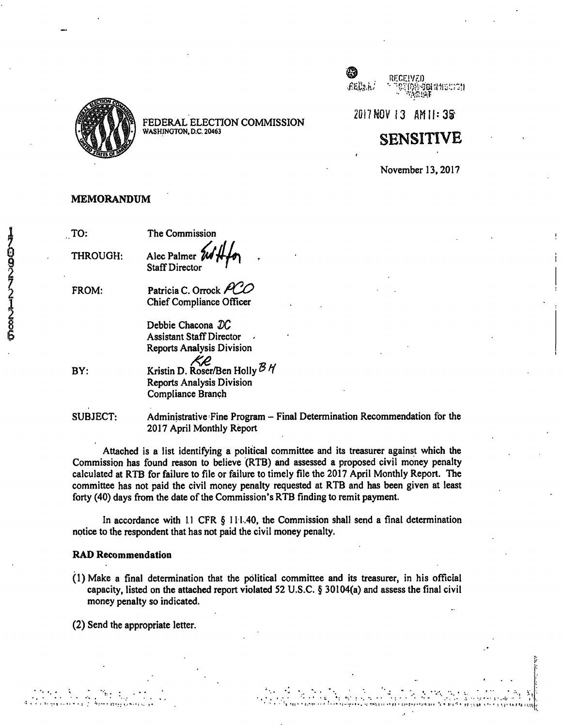

 $\bigotimes_{f\in\mathbb{C},\,\lambda}$  .

**20t7NOVI3 AMI|:3§'** 

**»** 

#### **SENSITIVE**

November 13,2017

#### MEMORANDUM

| TO:      | The Commission                                                                               |
|----------|----------------------------------------------------------------------------------------------|
| THROUGH: | Alec Palmer 2014                                                                             |
| FROM:    | Patricia C. Orrock PCO<br>Chief Compliance Officer                                           |
|          | Debbie Chacona $DC$<br><b>Assistant Staff Director</b><br><b>Reports Analysis Division</b>   |
| BY:      | KR<br>Kristin D. Roser/Ben Holly BH<br><b>Reports Analysis Division</b><br>Compliance Branch |
|          |                                                                                              |

SUBJECT: Administrative Fine Program - Final Determination Recommendation for the 2017 April Monthly Report

Attached is a list identifying a political committee and its treasurer against which the Commission has found reason to believe (RTB) and assessed a proposed civil money penalty calculated at RTB for failure to file or failure to timely file the 2017 April Monthly Report. The committee has not paid the civil money penalty requested at RTB and has been given at least forty (40) days from the date of the Commission's RTB finding to remit payment.

In accordance with 11 CFR § 111.40, the Commission shall send a final determination notice to the respondent that has not paid the civil money penalty.

#### **RAD Recommendation**

(1)Make a final determination that the political committee and its treasurer, in his official capacity, listed on the attached report violated 52 U.S.C. § 30104(a) and assess the final civil money penalty so indicated.

(2) Send the appropriate letter.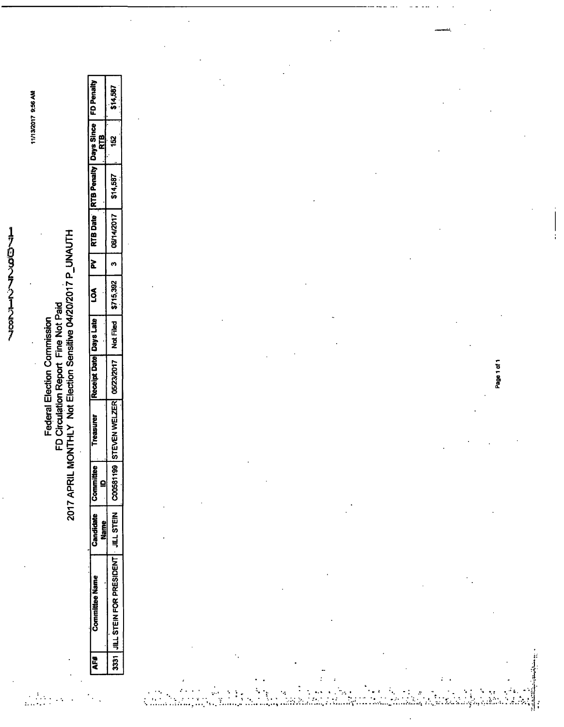17032721287

**s oi** 

# **z**<br>**Z**  $\frac{1}{2}$  **P** 7 APRI

**§** 

 $\frac{1}{2}$  ,  $\frac{1}{2}$  ,  $\frac{1}{2}$  ,  $\frac{1}{2}$ 

 $\mathcal{L}^{\mathcal{L}}$ 

| ł | <b>Committee Name</b>                              | andidate<br>ame | 。<br>三社<br>Comr | easure                                                    | <b>Receipt Date   Days Late</b> | ร<br>9ี |            |          | PV   RTB Date   RTB Penalty   Days Since   FD Penalty |        |
|---|----------------------------------------------------|-----------------|-----------------|-----------------------------------------------------------|---------------------------------|---------|------------|----------|-------------------------------------------------------|--------|
|   | 3331 JULL STEIN FOR PRESIDENT   JILL STEIN   C0058 |                 |                 | 1199   STEVEN WELZER   05/23/2017   Not Filed   \$715,392 |                                 |         | 06/14/2017 | \$14,587 | ន្ទ្រ                                                 | 14,587 |

ب<br>د افغان المراجع الملك

 $\ddot{\cdot}$ 

 $\mathcal{L}_{\mathcal{A}}$  $\mathcal{G}$ 

i<br>Sa  $\frac{1}{2}$ 

i<br>Lin

 $\frac{1}{2}$ 

Ĵ,

Ĵ

þ,

 $\ddot{\phantom{0}}$ 

 $\ddot{\cdot}$ 

Ļ

 $\ddot{\cdot}$ 

Ï

 $\ddot{\phantom{a}}$ 

Page 1 of 1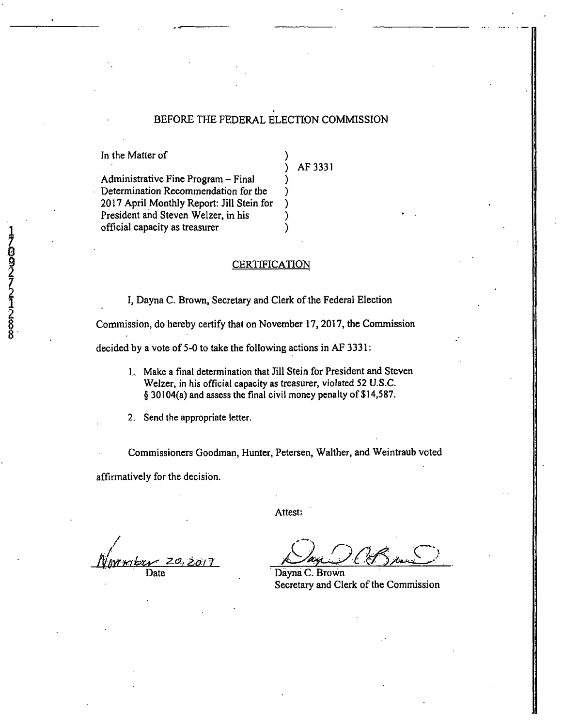#### BEFORE THE FEDERAL ELECTION COMMISSION

In the Matter of

AF 3331

Administrative Fine Program - Final Determination Recommendation for the 2017 April Monthly Report: Jill Stein for President and Steven Welzer, in his official capacity as treasurer

**CERTIFICATION** 

1, Dayna C. Brown, Secretary and Clerk of the Federal Election

Commission, do hereby certify that on November 17, 2017, the Commission

decided by a vote of 5-0 to take the following actions in AF 3331:

1... Make a final determination that Jill Stein for President and Steven Welzer, in his official capacity as treasurer, violated 52 U.S.C. § 30104(a) and assess the final civil money penalty of \$14,587.

2. Send the appropriate letter.

Commissioners Goodman, Hunter, Petersen, Walther, and Weintraub voted

Attest:

affirmatively for the decision.

 $Z$ Date

 $\zeta$ 

Dayna C. Brown Secretary and Clerk of the Commission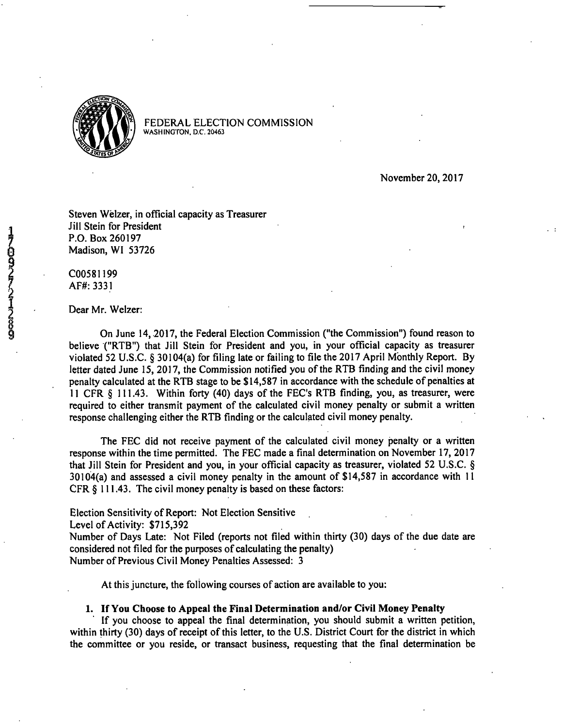

November 20, 2017

Steven Welzer, in official capacity as Treasurer Jill Stein for President P.O. Box 260197 Madison, W1 53726

C00581199 AF#:3331

#### Dear Mr. Welzer:

On June 14, 2017, the Federal Election Commission ("the Commission") found reason to believe ("RTB") that Jill Stein for President and you, in your official capacity as treasurer violated 52 U.S.C. § 30104(a) for filing late or failing to file the 2017 April Monthly Report. By letter dated June 15, 2017, the Commission notified you of the RTB finding and the civil money penalty calculated at the RTB stage to be \$14,587 in accordance with the schedule of penalties at 11 CFR § 111.43. Within forty (40) days of the EEC's RTB finding, you, as treasurer, were required to either transmit payment of the calculated civil money penalty or submit a written response challenging either the RTB finding or the calculated civil money penalty.

The EEC did not receive payment of the calculated civil money penalty or a written response within the time permitted. The EEC made a final determination on November 17, 2017 that Jill Stein for President and you, in your official capacity as treasurer, violated 52 U.S.C. § 30104(a) and assessed a civil money penalty in the amount of \$14,587 in accordance with 11 CFR § 111.43. The civil money penalty is based on these factors:

Election Sensitivity of Report: Not Election Sensitive

Level of Activity: \$715,392

Number of Days Late: Not Filed (reports not filed within thirty (30) days of the due date are considered not filed for the purposes of calculating the penalty) Number of Previous Civil Money Penalties Assessed: 3

At this juncture, the following courses of action are available to you:

#### **1. If You Choose to Appeal the Final Determination and/or Civil Money Penalty**

If you choose to appeal the final determination, you should submit a written petition, within thirty (30) days of receipt of this letter, to the U.S. District Court for the district in which the committee or you reside, or transact business, requesting that the final determination be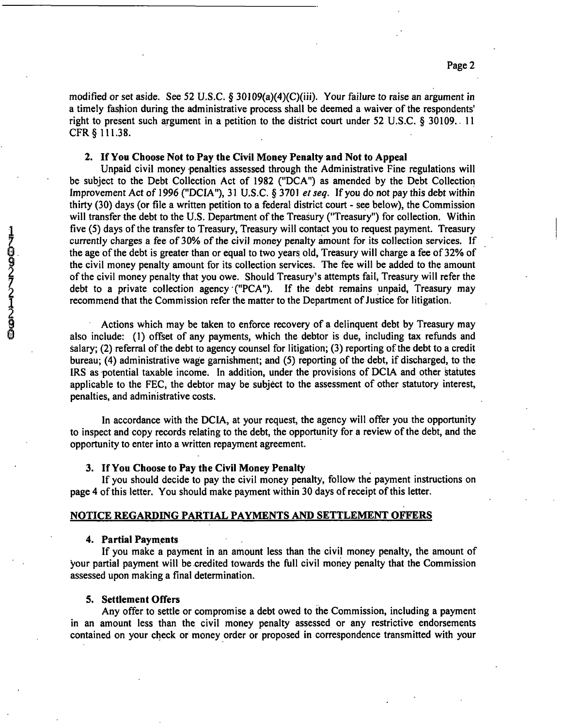modified or set aside. See 52 U.S.C.  $\S 30109(a)(4)(C)(iii)$ . Your failure to raise an argument in a timely fashion during the administrative process shall be deemed a waiver of the respondents' right to present such argument in a petition to the district court under 52 U.S.C. § 30109.. 11 CFR§ 111.38.

#### **2. If You Choose Not to Pay the Civil Money Penalty and Not to Appeal**

Unpaid civil money penalties assessed through the Administrative Fine regulations will be subject to the Debt Collection Act of 1982 ("DCA") as amended by the Debt Collection Improvement Act of 1996 ("DCIA"), 31 U.S.C. § 3701 et seq. If you do not pay this debt within thirty (30) days (or file a written petition to a federal district court - see below), the Commission will transfer the debt to the U.S. Department of the Treasury ("Treasury") for collection. Within five (5) days of the transfer to Treasury, Treasury will contact you to request payment. Treasury currently charges a fee of 30% of the civil money penalty amount for its collection services. If the age of the debt is greater than or equal to two years old. Treasury will charge a fee of 32% of the civil money penalty amount for its collection services. The fee will be added to the amount of the civil money penalty that you owe. Should Treasury's attempts fail. Treasury will refer the debt to a private collection agency ("PCA"). If the debt remains unpaid. Treasury may recommend that the Commission refer the matter to the Department of Justice for litigation.

Actions which may be taken to enforce recovery of a delinquent debt by Treasury may also include: (1) offset of any payments, which the debtor is due, including tax refunds and salary; (2) referral of the debt to agency counsel for litigation; (3) reporting of the debt to a credit bureau; (4) administrative wage garnishment; and (5) reporting of the debt, if discharged, to the IRS as potential taxable income. In addition, under the provisions of DCIA and other Statutes applicable to the FEC, the debtor may be subject to the assessment of other statutory interest, penalties, and administrative costs.

In accordance with the DCIA, at your request, the agency will offer you the opportunity to inspect and copy records relating to the debt, the opportunity for a review of the debt, and the opportunity to enter into a written repayment agreement.

#### **3. If You Choose to Pay the Civil Money Penalty**

If you should decide to pay the civil money penalty, follow the payment instructions on page 4 of this letter. You should make payment within 30 days of receipt of this letter.

#### **NOTICE REGARDING PARTIAL PAYMENTS AND SETTLEMENT OFFERS**

#### **4. Partial Payments**

If you make a payment in an amount less than the civil money penalty, the amount of your partial payment will be credited towards the full civil money penalty that the Commission assessed upon making a final determination.

#### **5. Settlement Offers**

Any offer to settle or compromise a debt owed to the Commission, including a payment in an amount less than the civil money penalty assessed or any restrictive endorsements contained on your check or money order or proposed in correspondence transmitted with your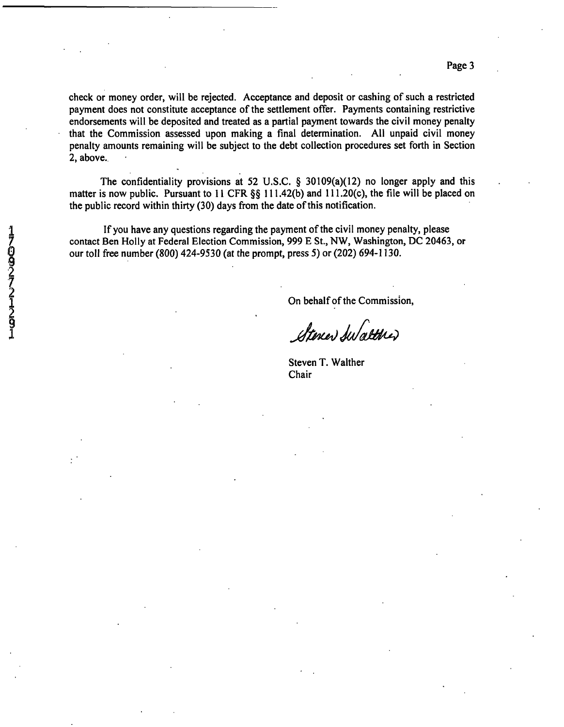Page 3

check or money order, will be rejected. Acceptance and deposit or cashing of such a restricted payment does not constitute acceptance of the settlement offer. Payments containing restrictive endorsements will be deposited and treated as a partial payment towards the civil money penalty that the Commission assessed upon making a final determination. All unpaid civil money penalty amounts remaining will be subject to the debt collection procedures set forth in Section 2, above.

The confidentiality provisions at 52 U.S.C. § 30109(a)(12) no longer apply and this matter is now public. Pursuant to 11 CFR §§ 111.42(b) and 111.20(c), the file will be placed on the public record within thirty (30) days from the date of this notification.

If you have any questions regarding the payment of the civil money penalty, please contact Ben Holly at Federal Election Commission, 999 E St., NW, Washington, DC 20463, or our toll free number (800) 424-9530 (at the prompt, press 5) or (202) 694-1130.

On behalf of the Commission,

Steren Swalterer

Steven T. Walther Chair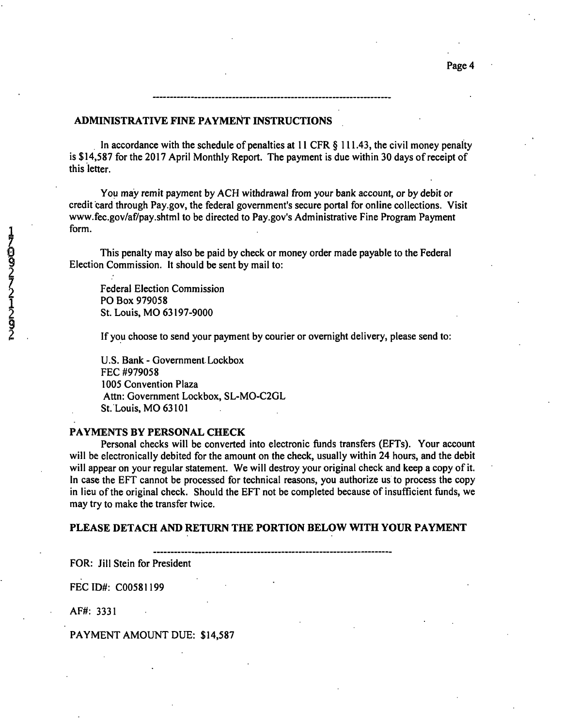#### **ADMINISTRATIVE FINE PAYMENT INSTRUCTIONS**

In accordance with the schedule of penalties at 11 CFR § 111.43, the civil money penalty is \$14,587 for the 2017 April Monthly Report. The payment is due within 30 days of receipt of this letter.

You may remit payment by ACH withdrawal from your bank account, or by debit or credit card through Pay.gov, the federal government's secure portal for online collections. Visit www.fec.gov/af/pay.shtml to be directed to Pay.gov's Administrative Fine Program Payment form.

This penalty may also be paid by check or money order made payable to the Federal Election Commission. It should be sent by mail to:

Federal Election Commission 1 PO Box 979058 2 St. Louis, MO 63197-9000

If you choose to send your payment by courier or overnight delivery, please send to:

U.S. Bank - Government Lockbox EEC #979058 1005 Convention Plaza Attn: Government Lockbox, SL-M0-C2GL St. Louis, MO 63101

#### **PAYMENTS BY PERSONAL CHECK**

Personal checks will be converted into electronic funds transfers (EFTs). Your account will be electronically debited for the amount on the check, usually within 24 hours, and the debit will appear on your regular statement. We will destroy your original check and keep a copy of it. In case the EFT cannot be processed for technical reasons, you authorize us to process the copy in lieu of the original check. Should the EFT not be completed because of insufficient funds, we may try to make the transfer twice.

#### PLEASE DETACH AND RETURN THE PORTION BELOW WITH YOUR PAYMENT

FOR: Jill Stein for President

FECID#: C00581199

AF#: 3331

PAYMENT AMOUNT DUE: \$14,587